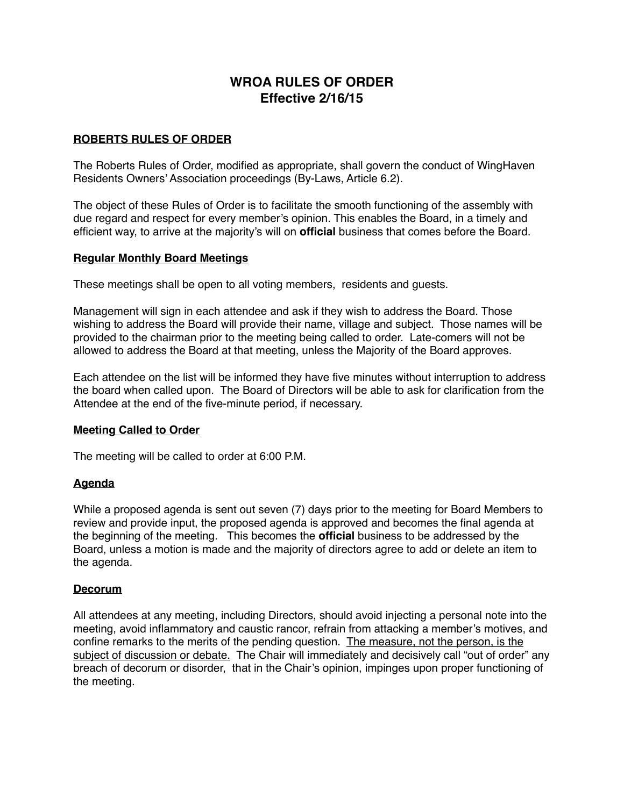# **WROA RULES OF ORDER Effective 2/16/15**

## **ROBERTS RULES OF ORDER**

The Roberts Rules of Order, modified as appropriate, shall govern the conduct of WingHaven Residents Owners' Association proceedings (By-Laws, Article 6.2).

The object of these Rules of Order is to facilitate the smooth functioning of the assembly with due regard and respect for every member's opinion. This enables the Board, in a timely and efficient way, to arrive at the majority's will on **official** business that comes before the Board.

### **Regular Monthly Board Meetings**

These meetings shall be open to all voting members, residents and guests.

Management will sign in each attendee and ask if they wish to address the Board. Those wishing to address the Board will provide their name, village and subject. Those names will be provided to the chairman prior to the meeting being called to order. Late-comers will not be allowed to address the Board at that meeting, unless the Majority of the Board approves.

Each attendee on the list will be informed they have five minutes without interruption to address the board when called upon. The Board of Directors will be able to ask for clarification from the Attendee at the end of the five-minute period, if necessary.

### **Meeting Called to Order**

The meeting will be called to order at 6:00 P.M.

## **Agenda**

While a proposed agenda is sent out seven (7) days prior to the meeting for Board Members to review and provide input, the proposed agenda is approved and becomes the final agenda at the beginning of the meeting. This becomes the **official** business to be addressed by the Board, unless a motion is made and the majority of directors agree to add or delete an item to the agenda.

### **Decorum**

All attendees at any meeting, including Directors, should avoid injecting a personal note into the meeting, avoid inflammatory and caustic rancor, refrain from attacking a member's motives, and confine remarks to the merits of the pending question. The measure, not the person, is the subject of discussion or debate. The Chair will immediately and decisively call "out of order" any breach of decorum or disorder, that in the Chair's opinion, impinges upon proper functioning of the meeting.